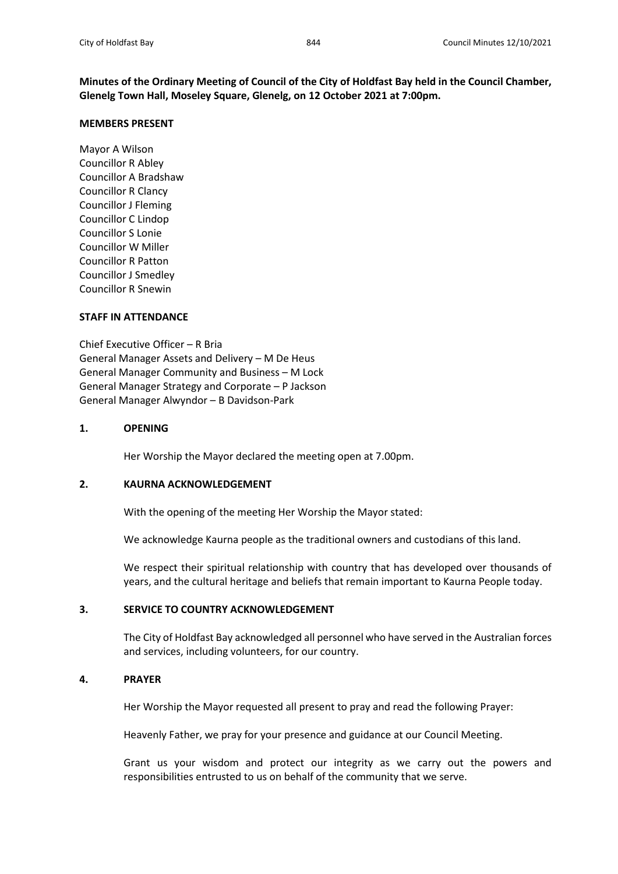**Minutes of the Ordinary Meeting of Council of the City of Holdfast Bay held in the Council Chamber, Glenelg Town Hall, Moseley Square, Glenelg, on 12 October 2021 at 7:00pm.**

### **MEMBERS PRESENT**

Mayor A Wilson Councillor R Abley Councillor A Bradshaw Councillor R Clancy Councillor J Fleming Councillor C Lindop Councillor S Lonie Councillor W Miller Councillor R Patton Councillor J Smedley Councillor R Snewin

### **STAFF IN ATTENDANCE**

Chief Executive Officer – R Bria General Manager Assets and Delivery – M De Heus General Manager Community and Business – M Lock General Manager Strategy and Corporate – P Jackson General Manager Alwyndor – B Davidson-Park

### **1. OPENING**

Her Worship the Mayor declared the meeting open at 7.00pm.

## **2. KAURNA ACKNOWLEDGEMENT**

With the opening of the meeting Her Worship the Mayor stated:

We acknowledge Kaurna people as the traditional owners and custodians of this land.

We respect their spiritual relationship with country that has developed over thousands of years, and the cultural heritage and beliefs that remain important to Kaurna People today.

## **3. SERVICE TO COUNTRY ACKNOWLEDGEMENT**

The City of Holdfast Bay acknowledged all personnel who have served in the Australian forces and services, including volunteers, for our country.

## **4. PRAYER**

Her Worship the Mayor requested all present to pray and read the following Prayer:

Heavenly Father, we pray for your presence and guidance at our Council Meeting.

Grant us your wisdom and protect our integrity as we carry out the powers and responsibilities entrusted to us on behalf of the community that we serve.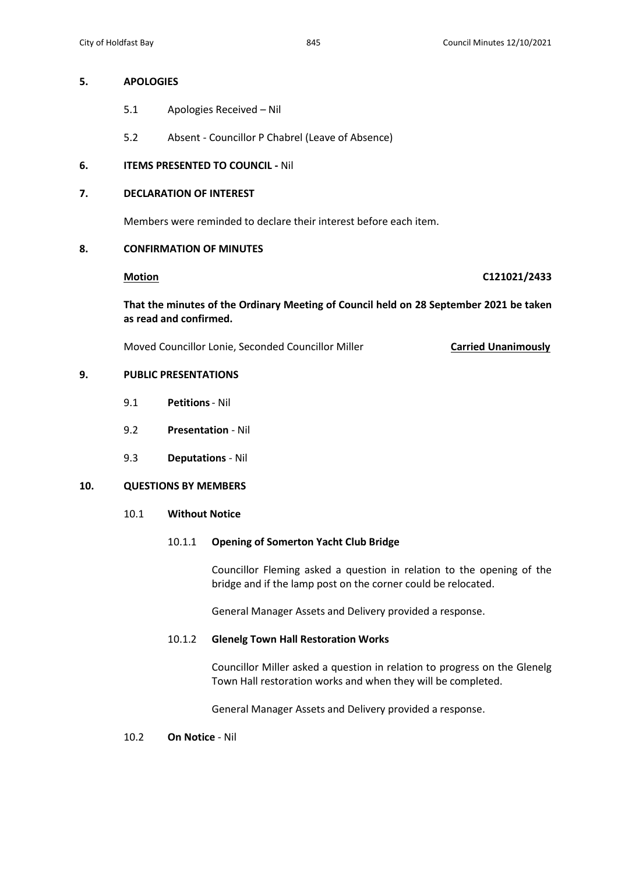## **5. APOLOGIES**

- 5.1 Apologies Received Nil
- 5.2 Absent Councillor P Chabrel (Leave of Absence)

## **6. ITEMS PRESENTED TO COUNCIL -** Nil

## **7. DECLARATION OF INTEREST**

Members were reminded to declare their interest before each item.

## **8. CONFIRMATION OF MINUTES**

**Motion C121021/2433**

**That the minutes of the Ordinary Meeting of Council held on 28 September 2021 be taken as read and confirmed.**

Moved Councillor Lonie, Seconded Councillor Miller **Carried Unanimously**

## **9. PUBLIC PRESENTATIONS**

- 9.1 **Petitions** Nil
- 9.2 **Presentation** Nil
- 9.3 **Deputations** Nil

## **10. QUESTIONS BY MEMBERS**

## 10.1 **Without Notice**

## 10.1.1 **Opening of Somerton Yacht Club Bridge**

Councillor Fleming asked a question in relation to the opening of the bridge and if the lamp post on the corner could be relocated.

General Manager Assets and Delivery provided a response.

## 10.1.2 **Glenelg Town Hall Restoration Works**

Councillor Miller asked a question in relation to progress on the Glenelg Town Hall restoration works and when they will be completed.

General Manager Assets and Delivery provided a response.

10.2 **On Notice** - Nil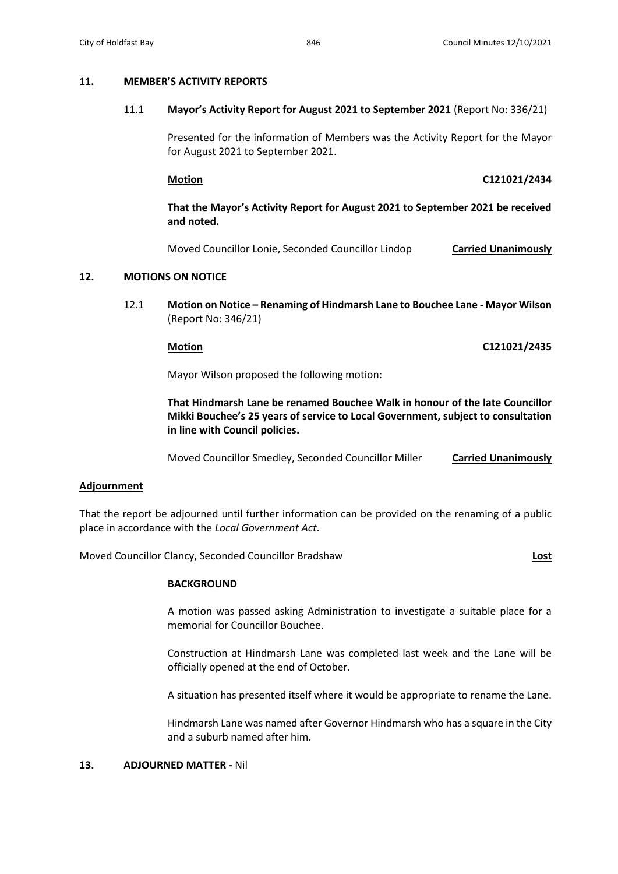### **11. MEMBER'S ACTIVITY REPORTS**

### 11.1 **Mayor's Activity Report for August 2021 to September 2021** (Report No: 336/21)

Presented for the information of Members was the Activity Report for the Mayor for August 2021 to September 2021.

**Motion C121021/2434**

**That the Mayor's Activity Report for August 2021 to September 2021 be received and noted.**

Moved Councillor Lonie, Seconded Councillor Lindop **Carried Unanimously**

## **12. MOTIONS ON NOTICE**

12.1 **Motion on Notice – Renaming of Hindmarsh Lane to Bouchee Lane - Mayor Wilson** (Report No: 346/21)

**Motion C121021/2435**

Mayor Wilson proposed the following motion:

**That Hindmarsh Lane be renamed Bouchee Walk in honour of the late Councillor Mikki Bouchee's 25 years of service to Local Government, subject to consultation in line with Council policies.**

Moved Councillor Smedley, Seconded Councillor Miller **Carried Unanimously**

### **Adjournment**

That the report be adjourned until further information can be provided on the renaming of a public place in accordance with the *Local Government Act*.

Moved Councillor Clancy, Seconded Councillor Bradshaw **Lost**

## **BACKGROUND**

A motion was passed asking Administration to investigate a suitable place for a memorial for Councillor Bouchee.

Construction at Hindmarsh Lane was completed last week and the Lane will be officially opened at the end of October.

A situation has presented itself where it would be appropriate to rename the Lane.

Hindmarsh Lane was named after Governor Hindmarsh who has a square in the City and a suburb named after him.

## **13. ADJOURNED MATTER -** Nil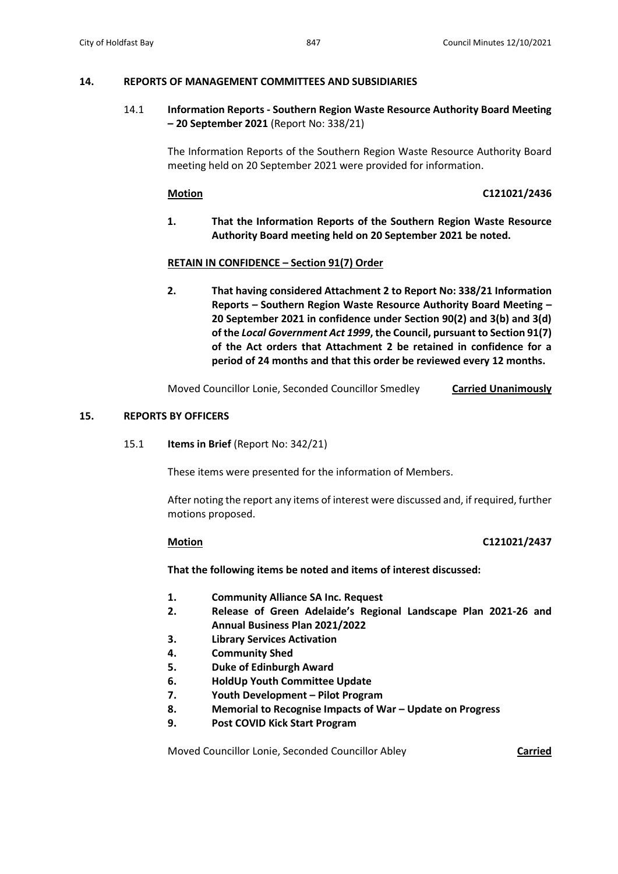## **14. REPORTS OF MANAGEMENT COMMITTEES AND SUBSIDIARIES**

14.1 **Information Reports - Southern Region Waste Resource Authority Board Meeting – 20 September 2021** (Report No: 338/21)

> The Information Reports of the Southern Region Waste Resource Authority Board meeting held on 20 September 2021 were provided for information.

# **Motion C121021/2436**

**1. That the Information Reports of the Southern Region Waste Resource Authority Board meeting held on 20 September 2021 be noted.**

# **RETAIN IN CONFIDENCE – Section 91(7) Order**

**2. That having considered Attachment 2 to Report No: 338/21 Information Reports – Southern Region Waste Resource Authority Board Meeting – 20 September 2021 in confidence under Section 90(2) and 3(b) and 3(d) of the** *Local Government Act 1999***, the Council, pursuant to Section 91(7) of the Act orders that Attachment 2 be retained in confidence for a period of 24 months and that this order be reviewed every 12 months.**

Moved Councillor Lonie, Seconded Councillor Smedley **Carried Unanimously**

## **15. REPORTS BY OFFICERS**

15.1 **Items in Brief** (Report No: 342/21)

These items were presented for the information of Members.

After noting the report any items of interest were discussed and, if required, further motions proposed.

# **Motion C121021/2437**

**That the following items be noted and items of interest discussed:**

- **1. Community Alliance SA Inc. Request**
- **2. Release of Green Adelaide's Regional Landscape Plan 2021-26 and Annual Business Plan 2021/2022**
- **3. Library Services Activation**
- **4. Community Shed**
- **5. Duke of Edinburgh Award**
- **6. HoldUp Youth Committee Update**
- **7. Youth Development – Pilot Program**
- **8. Memorial to Recognise Impacts of War – Update on Progress**
- **9. Post COVID Kick Start Program**

Moved Councillor Lonie, Seconded Councillor Abley **Carried**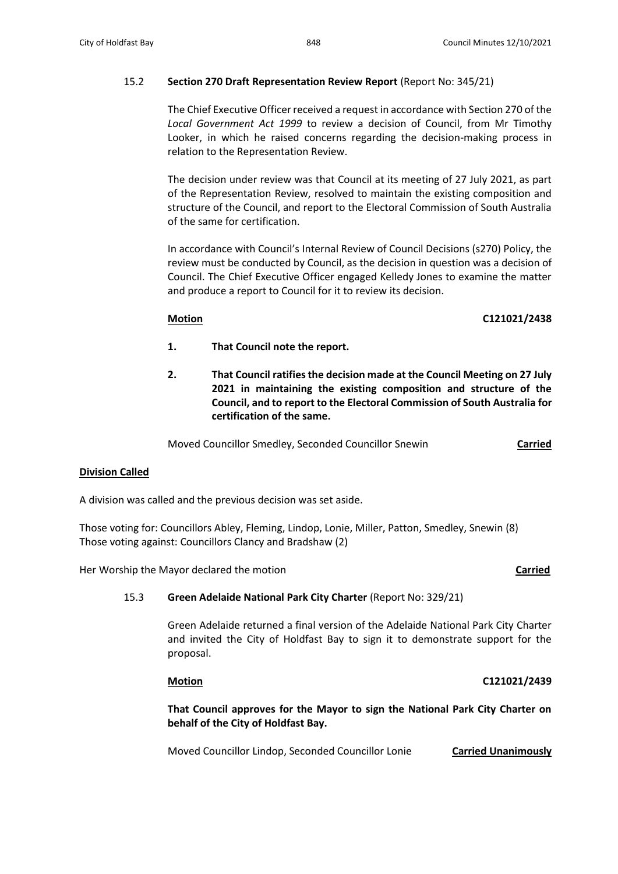# 15.2 **Section 270 Draft Representation Review Report** (Report No: 345/21)

The Chief Executive Officer received a request in accordance with Section 270 of the *Local Government Act 1999* to review a decision of Council, from Mr Timothy Looker, in which he raised concerns regarding the decision-making process in relation to the Representation Review.

The decision under review was that Council at its meeting of 27 July 2021, as part of the Representation Review, resolved to maintain the existing composition and structure of the Council, and report to the Electoral Commission of South Australia of the same for certification.

In accordance with Council's Internal Review of Council Decisions (s270) Policy, the review must be conducted by Council, as the decision in question was a decision of Council. The Chief Executive Officer engaged Kelledy Jones to examine the matter and produce a report to Council for it to review its decision.

# **Motion C121021/2438**

- **1. That Council note the report.**
- **2. That Council ratifies the decision made at the Council Meeting on 27 July 2021 in maintaining the existing composition and structure of the Council, and to report to the Electoral Commission of South Australia for certification of the same.**

Moved Councillor Smedley, Seconded Councillor Snewin **Carried**

# **Division Called**

A division was called and the previous decision was set aside.

Those voting for: Councillors Abley, Fleming, Lindop, Lonie, Miller, Patton, Smedley, Snewin (8) Those voting against: Councillors Clancy and Bradshaw (2)

Her Worship the Mayor declared the motion **Carried**

# 15.3 **Green Adelaide National Park City Charter** (Report No: 329/21)

Green Adelaide returned a final version of the Adelaide National Park City Charter and invited the City of Holdfast Bay to sign it to demonstrate support for the proposal.

# **Motion C121021/2439**

**That Council approves for the Mayor to sign the National Park City Charter on behalf of the City of Holdfast Bay.**

Moved Councillor Lindop, Seconded Councillor Lonie **Carried Unanimously**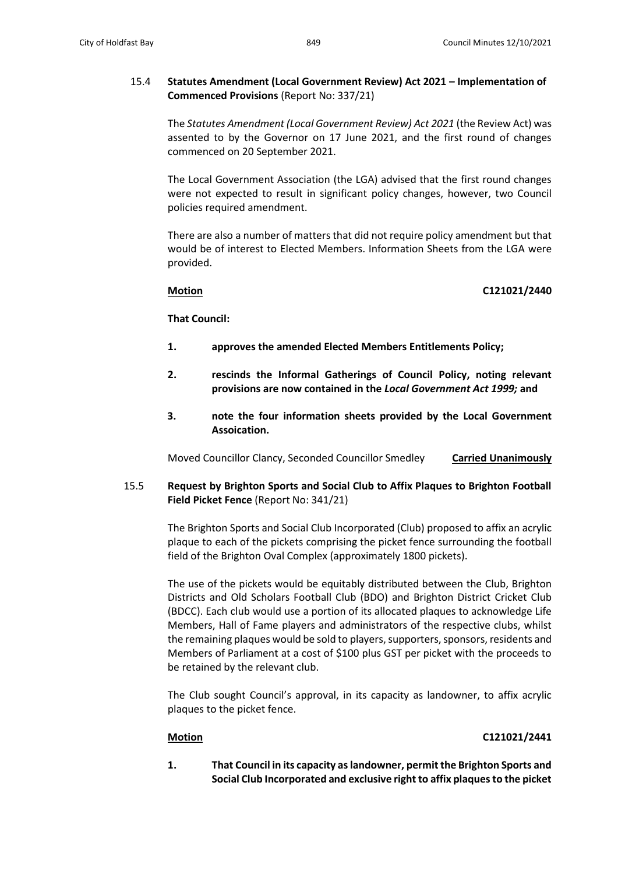# 15.4 **Statutes Amendment (Local Government Review) Act 2021 – Implementation of Commenced Provisions** (Report No: 337/21)

The *Statutes Amendment (Local Government Review) Act 2021* (the Review Act) was assented to by the Governor on 17 June 2021, and the first round of changes commenced on 20 September 2021.

The Local Government Association (the LGA) advised that the first round changes were not expected to result in significant policy changes, however, two Council policies required amendment.

There are also a number of matters that did not require policy amendment but that would be of interest to Elected Members. Information Sheets from the LGA were provided.

## **Motion C121021/2440**

**That Council:**

- **1. approves the amended Elected Members Entitlements Policy;**
- **2. rescinds the Informal Gatherings of Council Policy, noting relevant provisions are now contained in the** *Local Government Act 1999;* **and**
- **3. note the four information sheets provided by the Local Government Assoication.**

Moved Councillor Clancy, Seconded Councillor Smedley **Carried Unanimously**

15.5 **Request by Brighton Sports and Social Club to Affix Plaques to Brighton Football Field Picket Fence** (Report No: 341/21)

The Brighton Sports and Social Club Incorporated (Club) proposed to affix an acrylic plaque to each of the pickets comprising the picket fence surrounding the football field of the Brighton Oval Complex (approximately 1800 pickets).

The use of the pickets would be equitably distributed between the Club, Brighton Districts and Old Scholars Football Club (BDO) and Brighton District Cricket Club (BDCC). Each club would use a portion of its allocated plaques to acknowledge Life Members, Hall of Fame players and administrators of the respective clubs, whilst the remaining plaques would be sold to players, supporters, sponsors, residents and Members of Parliament at a cost of \$100 plus GST per picket with the proceeds to be retained by the relevant club.

The Club sought Council's approval, in its capacity as landowner, to affix acrylic plaques to the picket fence.

# **Motion C121021/2441**

**1. That Council in its capacity as landowner, permit the Brighton Sports and Social Club Incorporated and exclusive right to affix plaques to the picket**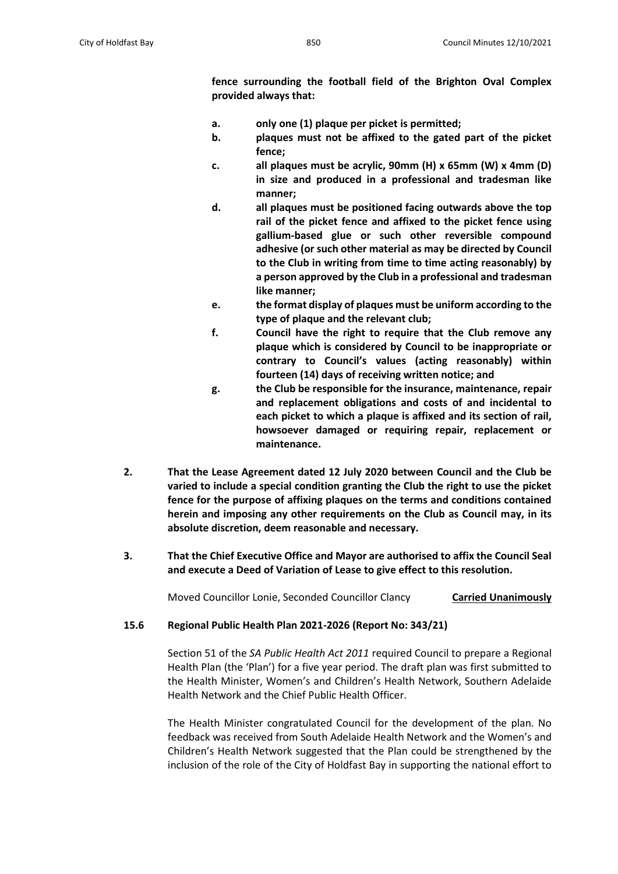**fence surrounding the football field of the Brighton Oval Complex provided always that:**

- **a. only one (1) plaque per picket is permitted;**
- **b. plaques must not be affixed to the gated part of the picket fence;**
- **c. all plaques must be acrylic, 90mm (H) x 65mm (W) x 4mm (D) in size and produced in a professional and tradesman like manner;**
- **d. all plaques must be positioned facing outwards above the top rail of the picket fence and affixed to the picket fence using gallium-based glue or such other reversible compound adhesive (or such other material as may be directed by Council to the Club in writing from time to time acting reasonably) by a person approved by the Club in a professional and tradesman like manner;**
- **e. the format display of plaques must be uniform according to the type of plaque and the relevant club;**
- **f. Council have the right to require that the Club remove any plaque which is considered by Council to be inappropriate or contrary to Council's values (acting reasonably) within fourteen (14) days of receiving written notice; and**
- **g. the Club be responsible for the insurance, maintenance, repair and replacement obligations and costs of and incidental to each picket to which a plaque is affixed and its section of rail, howsoever damaged or requiring repair, replacement or maintenance.**
- **2. That the Lease Agreement dated 12 July 2020 between Council and the Club be varied to include a special condition granting the Club the right to use the picket fence for the purpose of affixing plaques on the terms and conditions contained herein and imposing any other requirements on the Club as Council may, in its absolute discretion, deem reasonable and necessary.**
- **3. That the Chief Executive Office and Mayor are authorised to affix the Council Seal and execute a Deed of Variation of Lease to give effect to this resolution.**

Moved Councillor Lonie, Seconded Councillor Clancy **Carried Unanimously**

# **15.6 Regional Public Health Plan 2021-2026 (Report No: 343/21)**

Section 51 of the *SA Public Health Act 2011* required Council to prepare a Regional Health Plan (the 'Plan') for a five year period. The draft plan was first submitted to the Health Minister, Women's and Children's Health Network, Southern Adelaide Health Network and the Chief Public Health Officer.

The Health Minister congratulated Council for the development of the plan. No feedback was received from South Adelaide Health Network and the Women's and Children's Health Network suggested that the Plan could be strengthened by the inclusion of the role of the City of Holdfast Bay in supporting the national effort to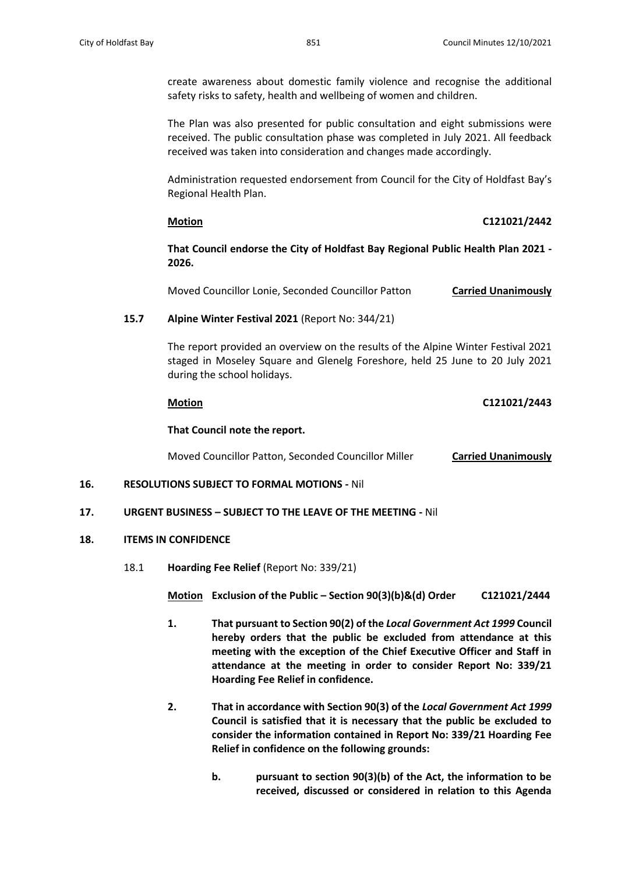create awareness about domestic family violence and recognise the additional safety risks to safety, health and wellbeing of women and children.

The Plan was also presented for public consultation and eight submissions were received. The public consultation phase was completed in July 2021. All feedback received was taken into consideration and changes made accordingly.

Administration requested endorsement from Council for the City of Holdfast Bay's Regional Health Plan.

## **Motion C121021/2442**

**That Council endorse the City of Holdfast Bay Regional Public Health Plan 2021 - 2026.**

Moved Councillor Lonie, Seconded Councillor Patton **Carried Unanimously**

# **15.7 Alpine Winter Festival 2021** (Report No: 344/21)

The report provided an overview on the results of the Alpine Winter Festival 2021 staged in Moseley Square and Glenelg Foreshore, held 25 June to 20 July 2021 during the school holidays.

## **Motion C121021/2443**

## **That Council note the report.**

Moved Councillor Patton, Seconded Councillor Miller **Carried Unanimously**

## **16. RESOLUTIONS SUBJECT TO FORMAL MOTIONS -** Nil

## **17. URGENT BUSINESS – SUBJECT TO THE LEAVE OF THE MEETING -** Nil

## **18. ITEMS IN CONFIDENCE**

18.1 **Hoarding Fee Relief** (Report No: 339/21)

**Motion Exclusion of the Public – Section 90(3)(b)&(d) Order C121021/2444**

- **1. That pursuant to Section 90(2) of the** *Local Government Act 1999* **Council hereby orders that the public be excluded from attendance at this meeting with the exception of the Chief Executive Officer and Staff in attendance at the meeting in order to consider Report No: 339/21 Hoarding Fee Relief in confidence.**
- **2. That in accordance with Section 90(3) of the** *Local Government Act 1999* **Council is satisfied that it is necessary that the public be excluded to consider the information contained in Report No: 339/21 Hoarding Fee Relief in confidence on the following grounds:**
	- **b. pursuant to section 90(3)(b) of the Act, the information to be received, discussed or considered in relation to this Agenda**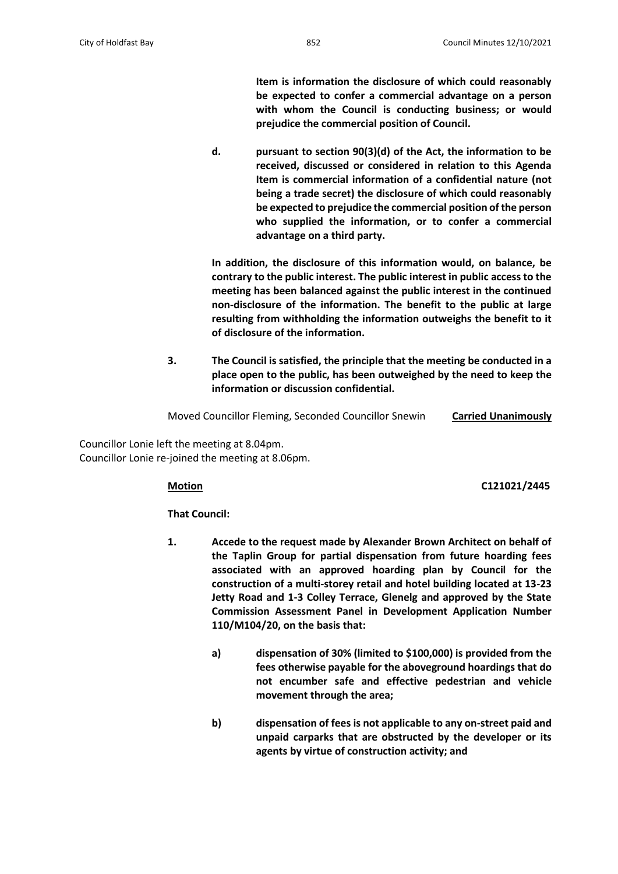**Item is information the disclosure of which could reasonably be expected to confer a commercial advantage on a person with whom the Council is conducting business; or would prejudice the commercial position of Council.**

**d. pursuant to section 90(3)(d) of the Act, the information to be received, discussed or considered in relation to this Agenda Item is commercial information of a confidential nature (not being a trade secret) the disclosure of which could reasonably be expected to prejudice the commercial position of the person who supplied the information, or to confer a commercial advantage on a third party.**

**In addition, the disclosure of this information would, on balance, be contrary to the public interest. The public interest in public access to the meeting has been balanced against the public interest in the continued non-disclosure of the information. The benefit to the public at large resulting from withholding the information outweighs the benefit to it of disclosure of the information.** 

**3. The Council is satisfied, the principle that the meeting be conducted in a place open to the public, has been outweighed by the need to keep the information or discussion confidential.**

Moved Councillor Fleming, Seconded Councillor Snewin **Carried Unanimously**

Councillor Lonie left the meeting at 8.04pm. Councillor Lonie re-joined the meeting at 8.06pm.

**Motion C121021/2445**

**That Council:**

- **1. Accede to the request made by Alexander Brown Architect on behalf of the Taplin Group for partial dispensation from future hoarding fees associated with an approved hoarding plan by Council for the construction of a multi-storey retail and hotel building located at 13-23 Jetty Road and 1-3 Colley Terrace, Glenelg and approved by the State Commission Assessment Panel in Development Application Number 110/M104/20, on the basis that:**
	- **a) dispensation of 30% (limited to \$100,000) is provided from the fees otherwise payable for the aboveground hoardings that do not encumber safe and effective pedestrian and vehicle movement through the area;**
	- **b) dispensation of fees is not applicable to any on-street paid and unpaid carparks that are obstructed by the developer or its agents by virtue of construction activity; and**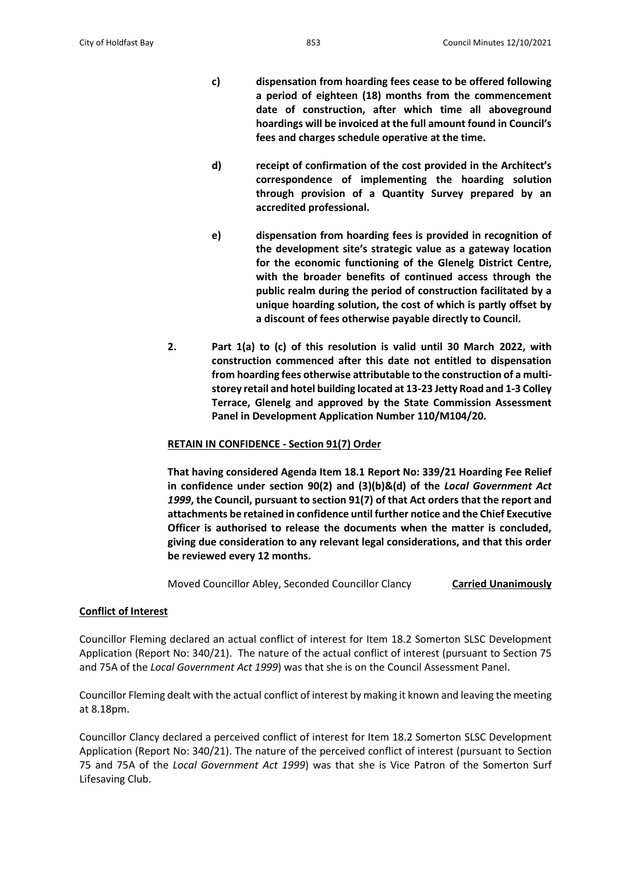- **c) dispensation from hoarding fees cease to be offered following a period of eighteen (18) months from the commencement date of construction, after which time all aboveground hoardings will be invoiced at the full amount found in Council's fees and charges schedule operative at the time.**
- **d) receipt of confirmation of the cost provided in the Architect's correspondence of implementing the hoarding solution through provision of a Quantity Survey prepared by an accredited professional.**
- **e) dispensation from hoarding fees is provided in recognition of the development site's strategic value as a gateway location for the economic functioning of the Glenelg District Centre, with the broader benefits of continued access through the public realm during the period of construction facilitated by a unique hoarding solution, the cost of which is partly offset by a discount of fees otherwise payable directly to Council.**
- **2. Part 1(a) to (c) of this resolution is valid until 30 March 2022, with construction commenced after this date not entitled to dispensation from hoarding fees otherwise attributable to the construction of a multistorey retail and hotel building located at 13-23 Jetty Road and 1-3 Colley Terrace, Glenelg and approved by the State Commission Assessment Panel in Development Application Number 110/M104/20.**

## **RETAIN IN CONFIDENCE - Section 91(7) Order**

**That having considered Agenda Item 18.1 Report No: 339/21 Hoarding Fee Relief in confidence under section 90(2) and (3)(b)&(d) of the** *Local Government Act 1999***, the Council, pursuant to section 91(7) of that Act orders that the report and attachments be retained in confidence until further notice and the Chief Executive Officer is authorised to release the documents when the matter is concluded, giving due consideration to any relevant legal considerations, and that this order be reviewed every 12 months.**

Moved Councillor Abley, Seconded Councillor Clancy **Carried Unanimously**

# **Conflict of Interest**

Councillor Fleming declared an actual conflict of interest for Item 18.2 Somerton SLSC Development Application (Report No: 340/21). The nature of the actual conflict of interest (pursuant to Section 75 and 75A of the *Local Government Act 1999*) was that she is on the Council Assessment Panel.

Councillor Fleming dealt with the actual conflict of interest by making it known and leaving the meeting at 8.18pm.

Councillor Clancy declared a perceived conflict of interest for Item 18.2 Somerton SLSC Development Application (Report No: 340/21). The nature of the perceived conflict of interest (pursuant to Section 75 and 75A of the *Local Government Act 1999*) was that she is Vice Patron of the Somerton Surf Lifesaving Club.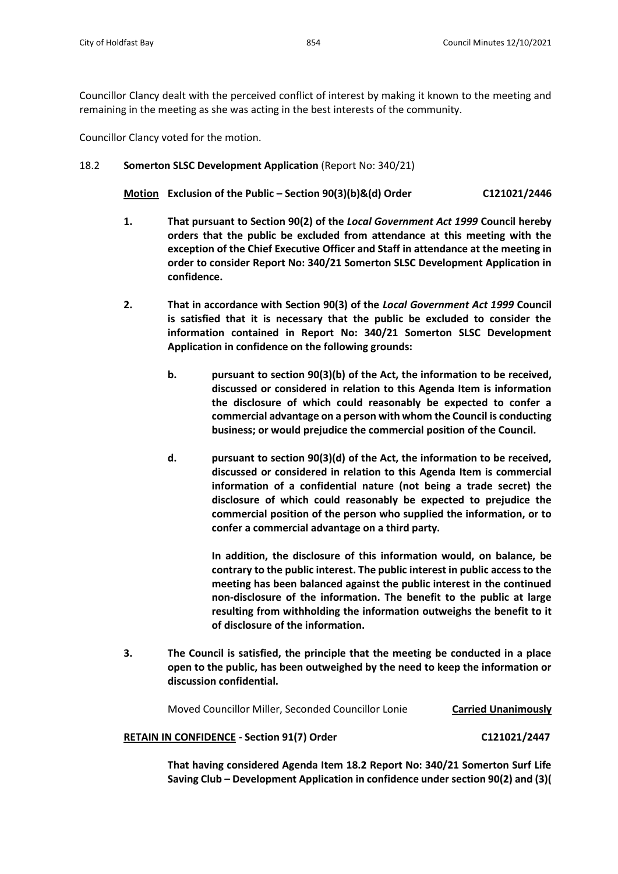Councillor Clancy dealt with the perceived conflict of interest by making it known to the meeting and remaining in the meeting as she was acting in the best interests of the community.

Councillor Clancy voted for the motion.

## 18.2 **Somerton SLSC Development Application** (Report No: 340/21)

| C121021/2446<br>Motion Exclusion of the Public – Section 90(3)(b)&(d) Order |
|-----------------------------------------------------------------------------|
|-----------------------------------------------------------------------------|

- **1. That pursuant to Section 90(2) of the** *Local Government Act 1999* **Council hereby orders that the public be excluded from attendance at this meeting with the exception of the Chief Executive Officer and Staff in attendance at the meeting in order to consider Report No: 340/21 Somerton SLSC Development Application in confidence.**
- **2. That in accordance with Section 90(3) of the** *Local Government Act 1999* **Council is satisfied that it is necessary that the public be excluded to consider the information contained in Report No: 340/21 Somerton SLSC Development Application in confidence on the following grounds:**
	- **b. pursuant to section 90(3)(b) of the Act, the information to be received, discussed or considered in relation to this Agenda Item is information the disclosure of which could reasonably be expected to confer a commercial advantage on a person with whom the Council is conducting business; or would prejudice the commercial position of the Council.**
	- **d. pursuant to section 90(3)(d) of the Act, the information to be received, discussed or considered in relation to this Agenda Item is commercial information of a confidential nature (not being a trade secret) the disclosure of which could reasonably be expected to prejudice the commercial position of the person who supplied the information, or to confer a commercial advantage on a third party.**

**In addition, the disclosure of this information would, on balance, be contrary to the public interest. The public interest in public access to the meeting has been balanced against the public interest in the continued non-disclosure of the information. The benefit to the public at large resulting from withholding the information outweighs the benefit to it of disclosure of the information.** 

**3. The Council is satisfied, the principle that the meeting be conducted in a place open to the public, has been outweighed by the need to keep the information or discussion confidential.**

Moved Councillor Miller, Seconded Councillor Lonie **Carried Unanimously**

## **RETAIN IN CONFIDENCE - Section 91(7) Order C121021/2447**

**That having considered Agenda Item 18.2 Report No: 340/21 Somerton Surf Life Saving Club – Development Application in confidence under section 90(2) and (3)(**